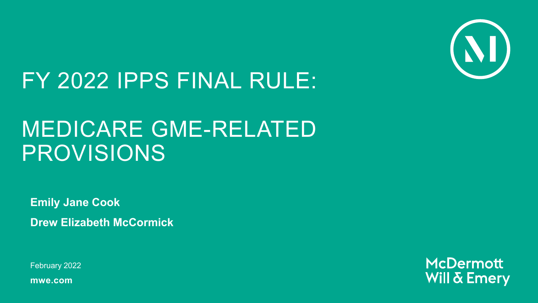

## FY 2022 IPPS FINAL RULE:

## MEDICARE GME-RELATED PROVISIONS

**Emily Jane Cook Drew Elizabeth McCormick**

February 2022

**mwe.com**

**McDermott Will & Emery**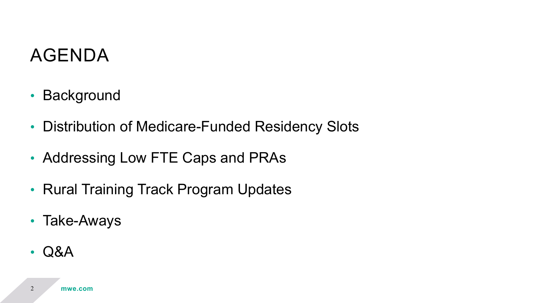### AGENDA

- Background
- Distribution of Medicare-Funded Residency Slots
- Addressing Low FTE Caps and PRAs
- Rural Training Track Program Updates
- Take-Aways
- Q&A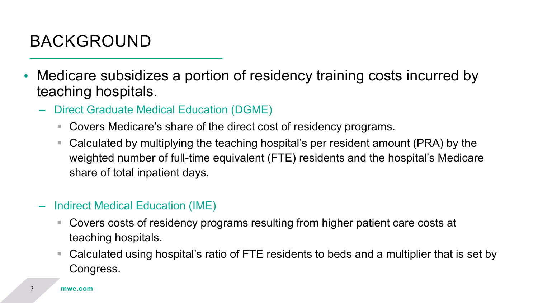#### BACKGROUND

- Medicare subsidizes a portion of residency training costs incurred by teaching hospitals.
	- Direct Graduate Medical Education (DGME)
		- Covers Medicare's share of the direct cost of residency programs.
		- Calculated by multiplying the teaching hospital's per resident amount (PRA) by the weighted number of full-time equivalent (FTE) residents and the hospital's Medicare share of total inpatient days.
	- Indirect Medical Education (IME)
		- Covers costs of residency programs resulting from higher patient care costs at teaching hospitals.
		- Calculated using hospital's ratio of FTE residents to beds and a multiplier that is set by Congress.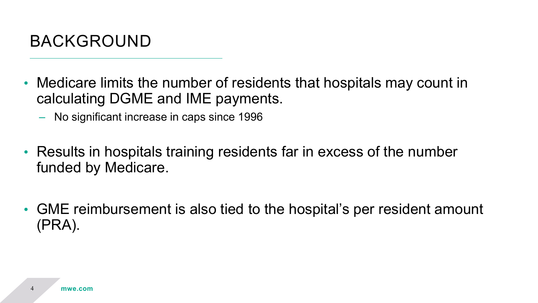

- Medicare limits the number of residents that hospitals may count in calculating DGME and IME payments.
	- No significant increase in caps since 1996
- Results in hospitals training residents far in excess of the number funded by Medicare.
- GME reimbursement is also tied to the hospital's per resident amount (PRA).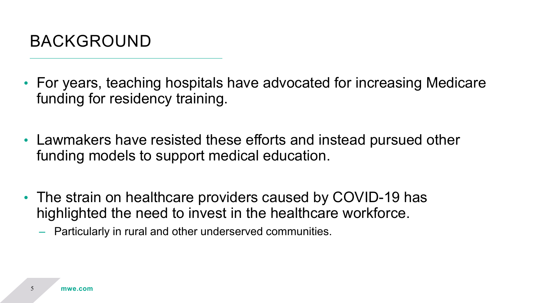

- For years, teaching hospitals have advocated for increasing Medicare funding for residency training.
- Lawmakers have resisted these efforts and instead pursued other funding models to support medical education.
- The strain on healthcare providers caused by COVID-19 has highlighted the need to invest in the healthcare workforce.
	- Particularly in rural and other underserved communities.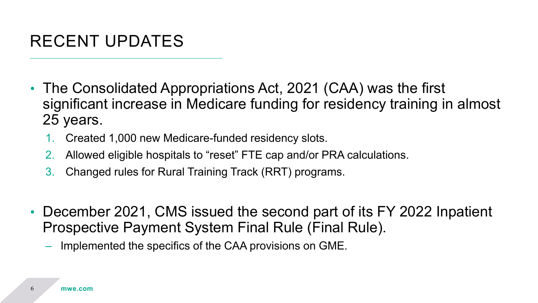#### RECENT UPDATES

- The Consolidated Appropriations Act, 2021 (CAA) was the first significant increase in Medicare funding for residency training in almost 25 years.
	- 1. Created 1,000 new Medicare-funded residency slots.
	- 2. Allowed eligible hospitals to "reset" FTE cap and/or PRA calculations.
	- 3. Changed rules for Rural Training Track (RRT) programs.
- December 2021, CMS issued the second part of its FY 2022 Inpatient Prospective Payment System Final Rule (Final Rule).
	- Implemented the specifics of the CAA provisions on GME.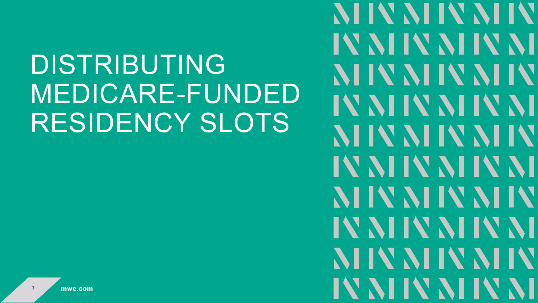DISTRIBUTING MEDICARE-FUNDED RESIDENCY SLOTS

IV NIIV NIIV NI NIIV NIIV NIIV IV NHV NHV NH NHV NHV NHV IV NIIV NIIV NI **NIIV NIIV NIIV** IV NHV NHV NH NHV NHV NHV IV NIIV NIIV NI

**NIIV NIIV NIIV**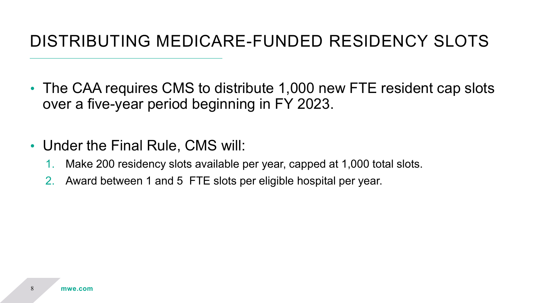#### DISTRIBUTING MEDICARE-FUNDED RESIDENCY SLOTS

- The CAA requires CMS to distribute 1,000 new FTE resident cap slots over a five-year period beginning in FY 2023.
- Under the Final Rule, CMS will:
	- 1. Make 200 residency slots available per year, capped at 1,000 total slots.
	- 2. Award between 1 and 5 FTE slots per eligible hospital per year.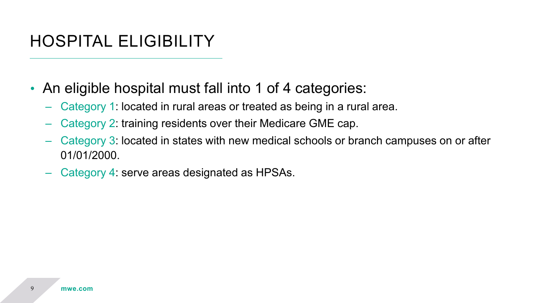#### HOSPITAL ELIGIBILITY

- An eligible hospital must fall into 1 of 4 categories:
	- Category 1: located in rural areas or treated as being in a rural area.
	- Category 2: training residents over their Medicare GME cap.
	- Category 3: located in states with new medical schools or branch campuses on or after 01/01/2000.
	- Category 4: serve areas designated as HPSAs.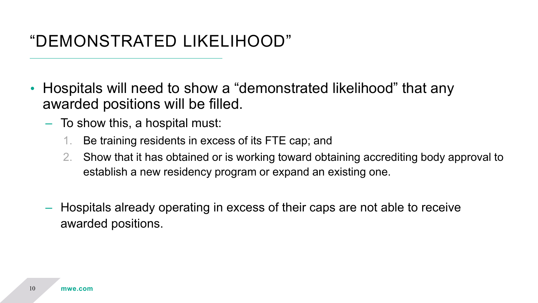#### "DEMONSTRATED LIKELIHOOD"

- Hospitals will need to show a "demonstrated likelihood" that any awarded positions will be filled.
	- To show this, a hospital must:
		- 1. Be training residents in excess of its FTE cap; and
		- 2. Show that it has obtained or is working toward obtaining accrediting body approval to establish a new residency program or expand an existing one.
	- Hospitals already operating in excess of their caps are not able to receive awarded positions.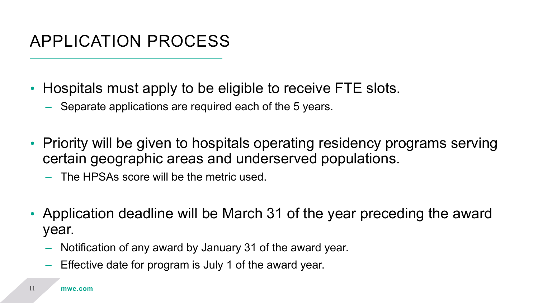#### APPLICATION PROCESS

- Hospitals must apply to be eligible to receive FTE slots.
	- Separate applications are required each of the 5 years.
- Priority will be given to hospitals operating residency programs serving certain geographic areas and underserved populations.
	- The HPSAs score will be the metric used.
- Application deadline will be March 31 of the year preceding the award year.
	- Notification of any award by January 31 of the award year.
	- Effective date for program is July 1 of the award year.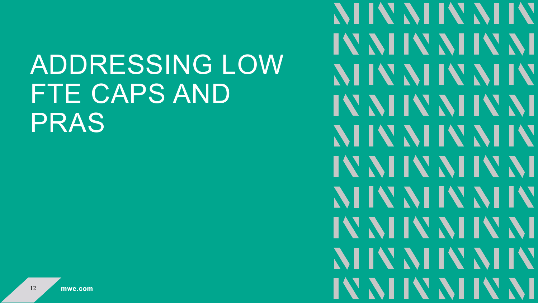# ADDRESSING LOW FTE CAPS AND PRAS

**NIIV NIIV NIIV** IV NIIV NIIV NI NIIV NIIV NIIV IV NIIV NIIV NI **NIIV NIIV NIIV** IV NHV NHV NH NHV NHV NHV IV NHV NHV NH NHV NHV NHV IV NHV NHV NH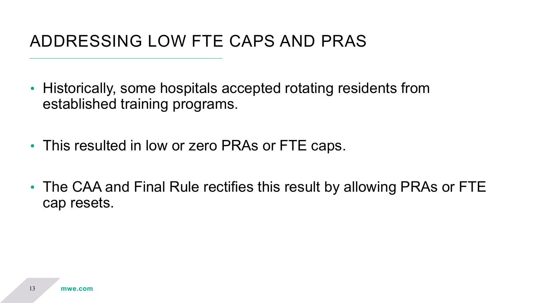#### ADDRESSING LOW FTE CAPS AND PRAS

- Historically, some hospitals accepted rotating residents from established training programs.
- This resulted in low or zero PRAs or FTE caps.
- The CAA and Final Rule rectifies this result by allowing PRAs or FTE cap resets.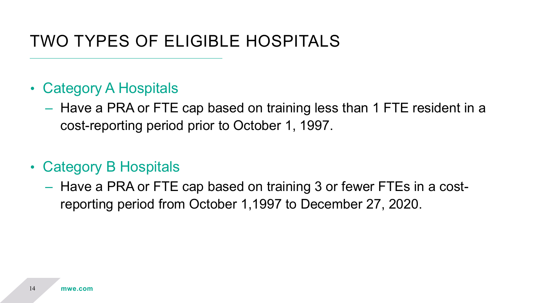#### TWO TYPES OF ELIGIBLE HOSPITALS

- Category A Hospitals
	- Have a PRA or FTE cap based on training less than 1 FTE resident in a cost-reporting period prior to October 1, 1997.
- Category B Hospitals
	- Have a PRA or FTE cap based on training 3 or fewer FTEs in a costreporting period from October 1,1997 to December 27, 2020.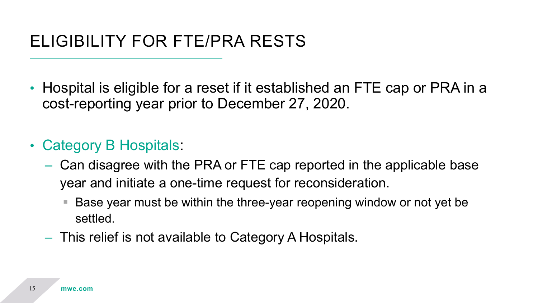- Hospital is eligible for a reset if it established an FTE cap or PRA in a cost-reporting year prior to December 27, 2020.
- Category B Hospitals:
	- Can disagree with the PRA or FTE cap reported in the applicable base year and initiate a one-time request for reconsideration.
		- Base year must be within the three-year reopening window or not yet be settled.
	- This relief is not available to Category A Hospitals.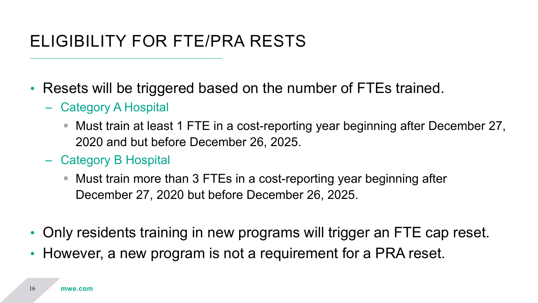#### ELIGIBILITY FOR FTE/PRA RESTS

- Resets will be triggered based on the number of FTEs trained.
	- Category A Hospital
		- Must train at least 1 FTE in a cost-reporting year beginning after December 27, 2020 and but before December 26, 2025.
	- Category B Hospital
		- Must train more than 3 FTEs in a cost-reporting year beginning after December 27, 2020 but before December 26, 2025.
- Only residents training in new programs will trigger an FTE cap reset.
- However, a new program is not a requirement for a PRA reset.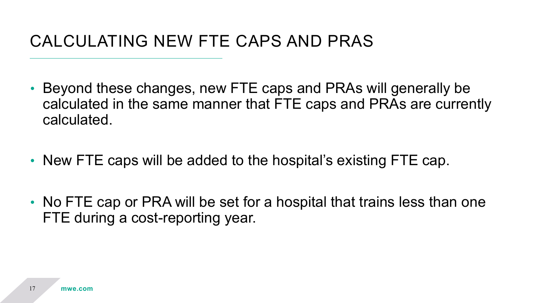#### CALCULATING NEW FTE CAPS AND PRAS

- Beyond these changes, new FTE caps and PRAs will generally be calculated in the same manner that FTE caps and PRAs are currently calculated.
- New FTE caps will be added to the hospital's existing FTE cap.
- No FTE cap or PRA will be set for a hospital that trains less than one FTE during a cost-reporting year.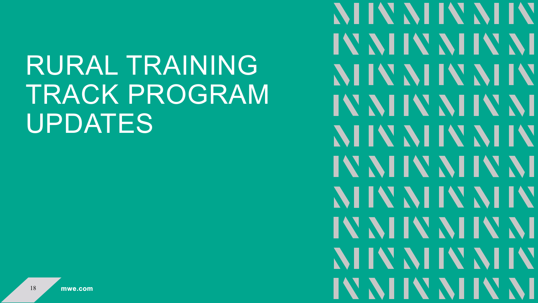# RURAL TRAINING TRACK PROGRAM UPDATES

**NIIV NIIV NIIV** IV NIIV NIIV NI NHV NHV NHV IV NIIV NIIV NI NHV NHV NHV IV NIIV NIIV NI NHV NHV NHV IV NHV NHV NH NHV NHV NHV IV NIIV NIIV NI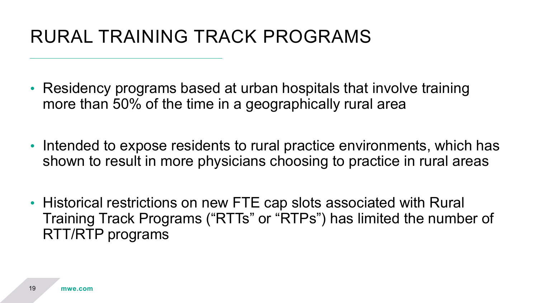### RURAL TRAINING TRACK PROGRAMS

- Residency programs based at urban hospitals that involve training more than 50% of the time in a geographically rural area
- Intended to expose residents to rural practice environments, which has shown to result in more physicians choosing to practice in rural areas
- Historical restrictions on new FTE cap slots associated with Rural Training Track Programs ("RTTs" or "RTPs") has limited the number of RTT/RTP programs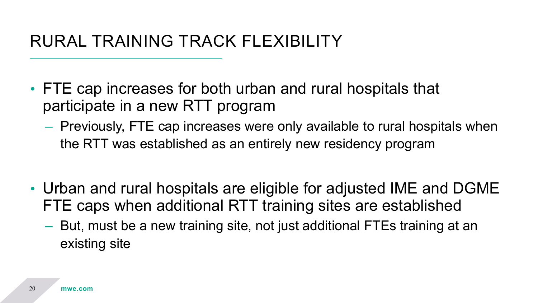#### RURAL TRAINING TRACK FLEXIBILITY

- FTE cap increases for both urban and rural hospitals that participate in a new RTT program
	- Previously, FTE cap increases were only available to rural hospitals when the RTT was established as an entirely new residency program
- Urban and rural hospitals are eligible for adjusted IME and DGME FTE caps when additional RTT training sites are established
	- But, must be a new training site, not just additional FTEs training at an existing site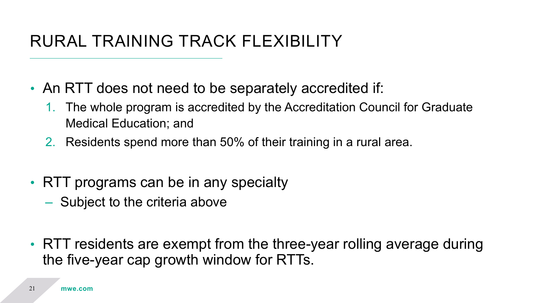#### RURAL TRAINING TRACK FLEXIBILITY

- An RTT does not need to be separately accredited if:
	- 1. The whole program is accredited by the Accreditation Council for Graduate Medical Education; and
	- 2. Residents spend more than 50% of their training in a rural area.
- RTT programs can be in any specialty
	- Subject to the criteria above
- RTT residents are exempt from the three-year rolling average during the five-year cap growth window for RTTs.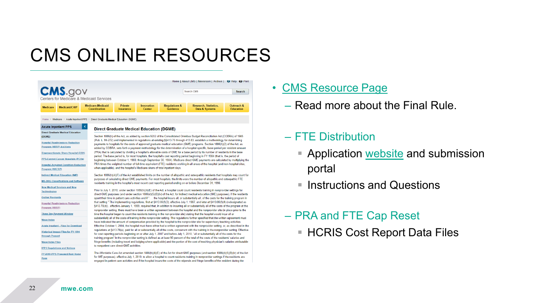### CMS ONLINE RESOURCES



Home > Medicare > Acute Inpatient PPS > Direct Graduate Medical Education (DGME)

| <b>Acute Inpatient PPS</b><br>∢                                          | <b>Direct Graduate Medical Education (DGME)</b>                                                                                                                                                                                                                                                                                                                                                                                                                                                                                                                                                                                                                                                                                                                                                                                                                                                                                                                                                                                                                                                                                                                                                                                                                                                                                                                                                                                                                                                                                                                                                                                                                                                                                                                                                                                                                                                                                                                                                                                                                                                                                                                                                                                                                                                                                                                                                                                                       |
|--------------------------------------------------------------------------|-------------------------------------------------------------------------------------------------------------------------------------------------------------------------------------------------------------------------------------------------------------------------------------------------------------------------------------------------------------------------------------------------------------------------------------------------------------------------------------------------------------------------------------------------------------------------------------------------------------------------------------------------------------------------------------------------------------------------------------------------------------------------------------------------------------------------------------------------------------------------------------------------------------------------------------------------------------------------------------------------------------------------------------------------------------------------------------------------------------------------------------------------------------------------------------------------------------------------------------------------------------------------------------------------------------------------------------------------------------------------------------------------------------------------------------------------------------------------------------------------------------------------------------------------------------------------------------------------------------------------------------------------------------------------------------------------------------------------------------------------------------------------------------------------------------------------------------------------------------------------------------------------------------------------------------------------------------------------------------------------------------------------------------------------------------------------------------------------------------------------------------------------------------------------------------------------------------------------------------------------------------------------------------------------------------------------------------------------------------------------------------------------------------------------------------------------------|
| <b>Direct Graduate Medical Education</b><br>(DGME)                       | Section 1886(h) of the Act, as added by section 9202 of the Consolidated Omnibus Budget Reconciliation Act (COBRA) of 1985<br>(Pub. L. 99-272) and implemented in regulations at existing §§413.75 through 413.83, establish a methodology for determining<br>payments to hospitals for the costs of approved graduate medical education (GME) programs. Section 1886(h)(2) of the Act, as<br>added by COBRA, sets forth a payment methodology for the determination of a hospital-specific, base-period per resident amount<br>(PRA) that is calculated by dividing a hospital's allowable costs of GME for a base period by its number of residents in the base<br>period. The base period is, for most hospitals, the hospital's cost reporting period beginning in FY 1984 (that is, the period of<br>beginning between October 1, 1983, through September 30, 1984). Medicare direct GME payments are calculated by multiplying the<br>PRA times the weighted number of full-time equivalent (FTE) residents working in all areas of the hospital (and non-hospital sites,<br>when applicable), and the hospital's Medicare share of total inpatient days.                                                                                                                                                                                                                                                                                                                                                                                                                                                                                                                                                                                                                                                                                                                                                                                                                                                                                                                                                                                                                                                                                                                                                                                                                                                                                       |
| <b>Hospital Readmissions Reduction</b><br><b>Program (HRRP) Archives</b> |                                                                                                                                                                                                                                                                                                                                                                                                                                                                                                                                                                                                                                                                                                                                                                                                                                                                                                                                                                                                                                                                                                                                                                                                                                                                                                                                                                                                                                                                                                                                                                                                                                                                                                                                                                                                                                                                                                                                                                                                                                                                                                                                                                                                                                                                                                                                                                                                                                                       |
| <b>Disproportionate Share Hospital (DSH)</b>                             |                                                                                                                                                                                                                                                                                                                                                                                                                                                                                                                                                                                                                                                                                                                                                                                                                                                                                                                                                                                                                                                                                                                                                                                                                                                                                                                                                                                                                                                                                                                                                                                                                                                                                                                                                                                                                                                                                                                                                                                                                                                                                                                                                                                                                                                                                                                                                                                                                                                       |
| <b>PPS-Exempt Cancer Hospitals (PCHs)</b>                                |                                                                                                                                                                                                                                                                                                                                                                                                                                                                                                                                                                                                                                                                                                                                                                                                                                                                                                                                                                                                                                                                                                                                                                                                                                                                                                                                                                                                                                                                                                                                                                                                                                                                                                                                                                                                                                                                                                                                                                                                                                                                                                                                                                                                                                                                                                                                                                                                                                                       |
| <b>Hospital-Acquired Condition Reduction</b><br>Program (HACRP)          |                                                                                                                                                                                                                                                                                                                                                                                                                                                                                                                                                                                                                                                                                                                                                                                                                                                                                                                                                                                                                                                                                                                                                                                                                                                                                                                                                                                                                                                                                                                                                                                                                                                                                                                                                                                                                                                                                                                                                                                                                                                                                                                                                                                                                                                                                                                                                                                                                                                       |
| <b>Indirect Medical Education (IME)</b>                                  | Section 1886(h)(4)(F) of the Act established limits on the number of allopathic and osteopathic residents that hospitals may count for<br>purposes of calculating direct GME payments. For most hospitals, the limits were the number of allopathic and osteopathic FTE<br>residents training in the hospital's most recent cost reporting period ending on or before December 31, 1996.<br>Prior to July 1, 2010, under section 1886(h)(4)(E) of the Act, a hospital could count residents training in nonprovider settings for<br>direct GME purposes (and under section 1886(d)(5)(B)(iv) of the Act, for indirect medical education (IME) purposes), if the residents<br>spent their time in patient care activities and if ". the hospital incurs all, or substantially all, of the costs for the training program in<br>that setting." The implementing regulations, first at §413.86(f)(3), effective July 1, 1987, and later at §413.86(f)(4) (redesignated as<br>§413.78(d)), effective January 1, 1999, required that, in addition to incurring all or substantially all of the costs of the program at the<br>nonprovider setting, there must have been a written agreement between the hospital and the nonprovider site (in place prior to the<br>time the hospital began to count the residents training in the non-provider site) stating that the hospital would incur all or<br>substantially all of the costs of training in the nonprovider setting. The regulations further specified that the written agreement must<br>have indicated the amount of compensation provided by the hospital to the nonprovider site for supervisory teaching activities.<br>Effective October 1, 2004, the hospital must have either had a written agreement with the nonprovider setting, or, as described in the<br>regulations at §413.78(e), paid for all or substantially all of the costs, concurrent with the training in the nonprovider setting. Effective<br>for cost reporting periods beginning on or after July 1, 2007 and before July 1, 2010, "all or substantially all of the costs for the<br>training program" in the nonprovider setting is defined as at least 90 percent of the total of the costs of the residents' salaries and<br>fringe benefits (including travel and lodging where applicable) and the portion of the cost of teaching physician's salaries attributable<br>to nonpatient care direct GME activities. |
| <b>MS-DRG Classifications and Software</b>                               |                                                                                                                                                                                                                                                                                                                                                                                                                                                                                                                                                                                                                                                                                                                                                                                                                                                                                                                                                                                                                                                                                                                                                                                                                                                                                                                                                                                                                                                                                                                                                                                                                                                                                                                                                                                                                                                                                                                                                                                                                                                                                                                                                                                                                                                                                                                                                                                                                                                       |
| <b>New Medical Services and New</b><br><b>Technologies</b>               |                                                                                                                                                                                                                                                                                                                                                                                                                                                                                                                                                                                                                                                                                                                                                                                                                                                                                                                                                                                                                                                                                                                                                                                                                                                                                                                                                                                                                                                                                                                                                                                                                                                                                                                                                                                                                                                                                                                                                                                                                                                                                                                                                                                                                                                                                                                                                                                                                                                       |
| <b>Outlier Payments</b>                                                  |                                                                                                                                                                                                                                                                                                                                                                                                                                                                                                                                                                                                                                                                                                                                                                                                                                                                                                                                                                                                                                                                                                                                                                                                                                                                                                                                                                                                                                                                                                                                                                                                                                                                                                                                                                                                                                                                                                                                                                                                                                                                                                                                                                                                                                                                                                                                                                                                                                                       |
| <b>Hospital Readmissions Reduction</b><br>Program (HRRP)                 |                                                                                                                                                                                                                                                                                                                                                                                                                                                                                                                                                                                                                                                                                                                                                                                                                                                                                                                                                                                                                                                                                                                                                                                                                                                                                                                                                                                                                                                                                                                                                                                                                                                                                                                                                                                                                                                                                                                                                                                                                                                                                                                                                                                                                                                                                                                                                                                                                                                       |
| <b>Three Day Payment Window</b>                                          |                                                                                                                                                                                                                                                                                                                                                                                                                                                                                                                                                                                                                                                                                                                                                                                                                                                                                                                                                                                                                                                                                                                                                                                                                                                                                                                                                                                                                                                                                                                                                                                                                                                                                                                                                                                                                                                                                                                                                                                                                                                                                                                                                                                                                                                                                                                                                                                                                                                       |
| <b>Wage Index</b>                                                        |                                                                                                                                                                                                                                                                                                                                                                                                                                                                                                                                                                                                                                                                                                                                                                                                                                                                                                                                                                                                                                                                                                                                                                                                                                                                                                                                                                                                                                                                                                                                                                                                                                                                                                                                                                                                                                                                                                                                                                                                                                                                                                                                                                                                                                                                                                                                                                                                                                                       |
| <b>Acute Inpatient - Files for Download</b>                              |                                                                                                                                                                                                                                                                                                                                                                                                                                                                                                                                                                                                                                                                                                                                                                                                                                                                                                                                                                                                                                                                                                                                                                                                                                                                                                                                                                                                                                                                                                                                                                                                                                                                                                                                                                                                                                                                                                                                                                                                                                                                                                                                                                                                                                                                                                                                                                                                                                                       |
| <b>Historical Impact Files for FY 1994</b><br>through Present            |                                                                                                                                                                                                                                                                                                                                                                                                                                                                                                                                                                                                                                                                                                                                                                                                                                                                                                                                                                                                                                                                                                                                                                                                                                                                                                                                                                                                                                                                                                                                                                                                                                                                                                                                                                                                                                                                                                                                                                                                                                                                                                                                                                                                                                                                                                                                                                                                                                                       |
| <b>Wage Index Files</b>                                                  |                                                                                                                                                                                                                                                                                                                                                                                                                                                                                                                                                                                                                                                                                                                                                                                                                                                                                                                                                                                                                                                                                                                                                                                                                                                                                                                                                                                                                                                                                                                                                                                                                                                                                                                                                                                                                                                                                                                                                                                                                                                                                                                                                                                                                                                                                                                                                                                                                                                       |
| <b>IPPS Regulations and Notices</b>                                      |                                                                                                                                                                                                                                                                                                                                                                                                                                                                                                                                                                                                                                                                                                                                                                                                                                                                                                                                                                                                                                                                                                                                                                                                                                                                                                                                                                                                                                                                                                                                                                                                                                                                                                                                                                                                                                                                                                                                                                                                                                                                                                                                                                                                                                                                                                                                                                                                                                                       |
| FY 2019 IPPS Proposed Rule Home<br>Page                                  | The Affordable Care Act amended section 1886(h)(4)(E) of the Act for direct GME purposes (and section 1886(d)(5)(B)(iv) of the Act<br>for IME purposes), effective July 1, 2010, to allow a hospital to count residents training in nonprovider settings if the residents are<br>engaged in patient care activities and if the hospital incurs the costs of the stipends and fringe benefits of the resident during the                                                                                                                                                                                                                                                                                                                                                                                                                                                                                                                                                                                                                                                                                                                                                                                                                                                                                                                                                                                                                                                                                                                                                                                                                                                                                                                                                                                                                                                                                                                                                                                                                                                                                                                                                                                                                                                                                                                                                                                                                               |

#### • [CMS Resource Page](https://www.cms.gov/Medicare/Medicare-Fee-for-Service-Payment/AcuteInpatientPPS/DGME)

– Read more about the Final Rule.

#### – FTE Distribution

- Application [website](https://mearis.cms.gov/public/resources?app=gme126) and submission portal
- **Instructions and Questions**

#### – PRA and FTE Cap Reset ■ HCRIS Cost Report Data Files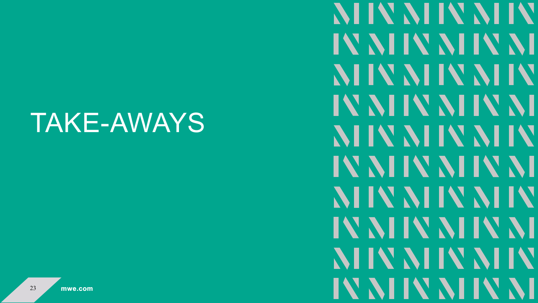## TAKE-AWAYS

**NIIV NIIV NIIV** IV NIIV NIIV NI NHV NHV NHV IV NIIV NIIV NI NHV NHV NHV IV NIIV NIIV NI NHV NHV NHV IV NIIV NIIV NI NHV NHV NHV IV NIIV NIIV NI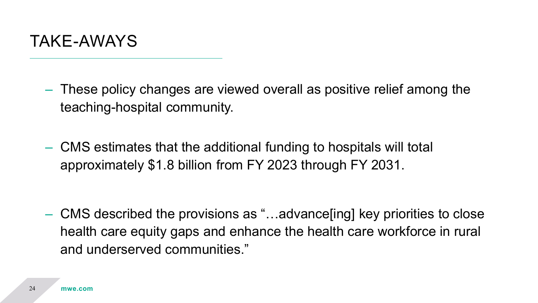

- These policy changes are viewed overall as positive relief among the teaching-hospital community.
- CMS estimates that the additional funding to hospitals will total approximately \$1.8 billion from FY 2023 through FY 2031.

– CMS described the provisions as "…advance[ing] key priorities to close health care equity gaps and enhance the health care workforce in rural and underserved communities."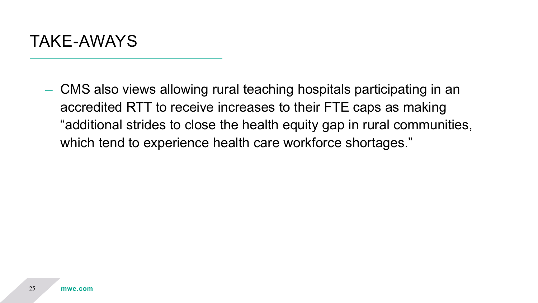

– CMS also views allowing rural teaching hospitals participating in an accredited RTT to receive increases to their FTE caps as making "additional strides to close the health equity gap in rural communities, which tend to experience health care workforce shortages."